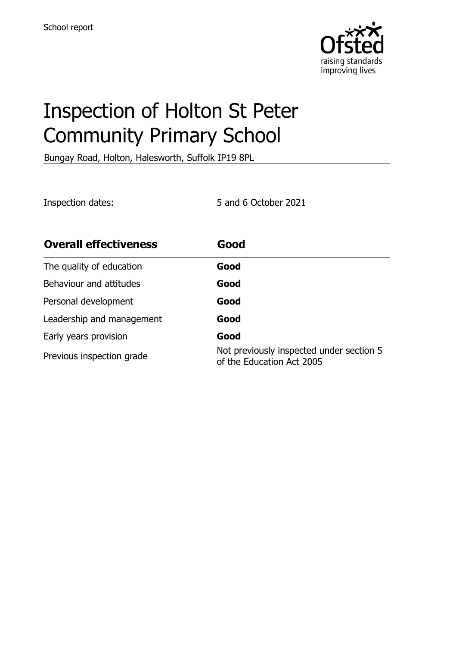

# Inspection of Holton St Peter Community Primary School

Bungay Road, Holton, Halesworth, Suffolk IP19 8PL

Inspection dates: 5 and 6 October 2021

| <b>Overall effectiveness</b> | Good                                                                  |
|------------------------------|-----------------------------------------------------------------------|
| The quality of education     | Good                                                                  |
| Behaviour and attitudes      | Good                                                                  |
| Personal development         | Good                                                                  |
| Leadership and management    | Good                                                                  |
| Early years provision        | Good                                                                  |
| Previous inspection grade    | Not previously inspected under section 5<br>of the Education Act 2005 |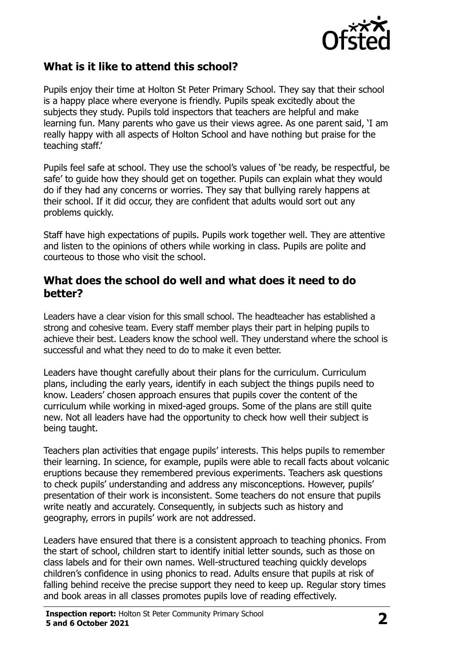

## **What is it like to attend this school?**

Pupils enjoy their time at Holton St Peter Primary School. They say that their school is a happy place where everyone is friendly. Pupils speak excitedly about the subjects they study. Pupils told inspectors that teachers are helpful and make learning fun. Many parents who gave us their views agree. As one parent said, 'I am really happy with all aspects of Holton School and have nothing but praise for the teaching staff.'

Pupils feel safe at school. They use the school's values of 'be ready, be respectful, be safe' to guide how they should get on together. Pupils can explain what they would do if they had any concerns or worries. They say that bullying rarely happens at their school. If it did occur, they are confident that adults would sort out any problems quickly.

Staff have high expectations of pupils. Pupils work together well. They are attentive and listen to the opinions of others while working in class. Pupils are polite and courteous to those who visit the school.

### **What does the school do well and what does it need to do better?**

Leaders have a clear vision for this small school. The headteacher has established a strong and cohesive team. Every staff member plays their part in helping pupils to achieve their best. Leaders know the school well. They understand where the school is successful and what they need to do to make it even better.

Leaders have thought carefully about their plans for the curriculum. Curriculum plans, including the early years, identify in each subject the things pupils need to know. Leaders' chosen approach ensures that pupils cover the content of the curriculum while working in mixed-aged groups. Some of the plans are still quite new. Not all leaders have had the opportunity to check how well their subject is being taught.

Teachers plan activities that engage pupils' interests. This helps pupils to remember their learning. In science, for example, pupils were able to recall facts about volcanic eruptions because they remembered previous experiments. Teachers ask questions to check pupils' understanding and address any misconceptions. However, pupils' presentation of their work is inconsistent. Some teachers do not ensure that pupils write neatly and accurately. Consequently, in subjects such as history and geography, errors in pupils' work are not addressed.

Leaders have ensured that there is a consistent approach to teaching phonics. From the start of school, children start to identify initial letter sounds, such as those on class labels and for their own names. Well-structured teaching quickly develops children's confidence in using phonics to read. Adults ensure that pupils at risk of falling behind receive the precise support they need to keep up. Regular story times and book areas in all classes promotes pupils love of reading effectively.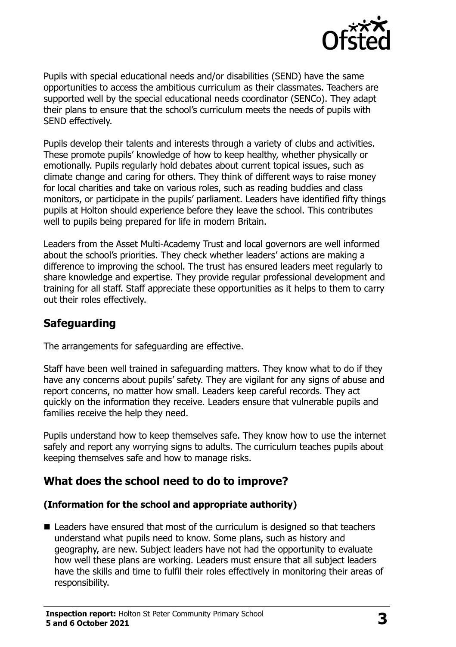

Pupils with special educational needs and/or disabilities (SEND) have the same opportunities to access the ambitious curriculum as their classmates. Teachers are supported well by the special educational needs coordinator (SENCo). They adapt their plans to ensure that the school's curriculum meets the needs of pupils with SEND effectively.

Pupils develop their talents and interests through a variety of clubs and activities. These promote pupils' knowledge of how to keep healthy, whether physically or emotionally. Pupils regularly hold debates about current topical issues, such as climate change and caring for others. They think of different ways to raise money for local charities and take on various roles, such as reading buddies and class monitors, or participate in the pupils' parliament. Leaders have identified fifty things pupils at Holton should experience before they leave the school. This contributes well to pupils being prepared for life in modern Britain.

Leaders from the Asset Multi-Academy Trust and local governors are well informed about the school's priorities. They check whether leaders' actions are making a difference to improving the school. The trust has ensured leaders meet regularly to share knowledge and expertise. They provide regular professional development and training for all staff. Staff appreciate these opportunities as it helps to them to carry out their roles effectively.

## **Safeguarding**

The arrangements for safeguarding are effective.

Staff have been well trained in safeguarding matters. They know what to do if they have any concerns about pupils' safety. They are vigilant for any signs of abuse and report concerns, no matter how small. Leaders keep careful records. They act quickly on the information they receive. Leaders ensure that vulnerable pupils and families receive the help they need.

Pupils understand how to keep themselves safe. They know how to use the internet safely and report any worrying signs to adults. The curriculum teaches pupils about keeping themselves safe and how to manage risks.

## **What does the school need to do to improve?**

#### **(Information for the school and appropriate authority)**

■ Leaders have ensured that most of the curriculum is designed so that teachers understand what pupils need to know. Some plans, such as history and geography, are new. Subject leaders have not had the opportunity to evaluate how well these plans are working. Leaders must ensure that all subject leaders have the skills and time to fulfil their roles effectively in monitoring their areas of responsibility.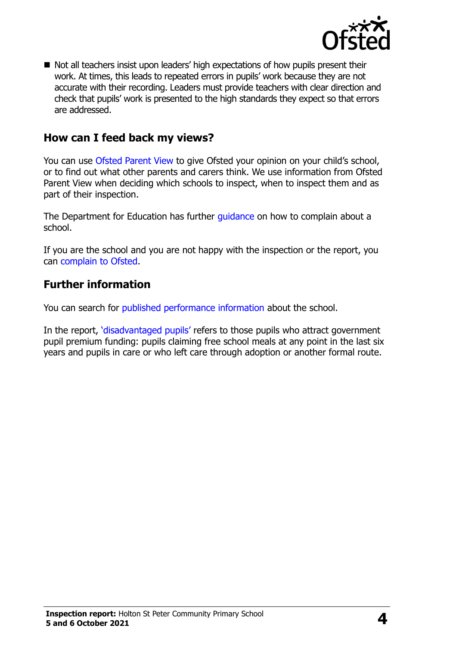

Not all teachers insist upon leaders' high expectations of how pupils present their work. At times, this leads to repeated errors in pupils' work because they are not accurate with their recording. Leaders must provide teachers with clear direction and check that pupils' work is presented to the high standards they expect so that errors are addressed.

## **How can I feed back my views?**

You can use [Ofsted Parent View](http://parentview.ofsted.gov.uk/) to give Ofsted your opinion on your child's school, or to find out what other parents and carers think. We use information from Ofsted Parent View when deciding which schools to inspect, when to inspect them and as part of their inspection.

The Department for Education has further quidance on how to complain about a school.

If you are the school and you are not happy with the inspection or the report, you can [complain to Ofsted.](http://www.gov.uk/complain-ofsted-report)

#### **Further information**

You can search for [published performance information](http://www.compare-school-performance.service.gov.uk/) about the school.

In the report, '[disadvantaged pupils](http://www.gov.uk/guidance/pupil-premium-information-for-schools-and-alternative-provision-settings)' refers to those pupils who attract government pupil premium funding: pupils claiming free school meals at any point in the last six years and pupils in care or who left care through adoption or another formal route.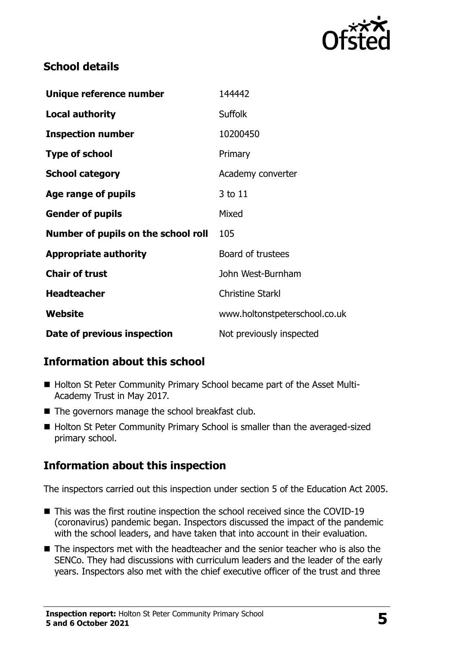

## **School details**

| Unique reference number             | 144442                        |
|-------------------------------------|-------------------------------|
| <b>Local authority</b>              | <b>Suffolk</b>                |
| <b>Inspection number</b>            | 10200450                      |
| <b>Type of school</b>               | Primary                       |
| <b>School category</b>              | Academy converter             |
| Age range of pupils                 | 3 to 11                       |
| <b>Gender of pupils</b>             | Mixed                         |
| Number of pupils on the school roll | 105                           |
| <b>Appropriate authority</b>        | Board of trustees             |
| <b>Chair of trust</b>               | John West-Burnham             |
| <b>Headteacher</b>                  | <b>Christine Starkl</b>       |
| Website                             | www.holtonstpeterschool.co.uk |
| Date of previous inspection         | Not previously inspected      |

## **Information about this school**

- Holton St Peter Community Primary School became part of the Asset Multi-Academy Trust in May 2017.
- The governors manage the school breakfast club.
- Holton St Peter Community Primary School is smaller than the averaged-sized primary school.

# **Information about this inspection**

The inspectors carried out this inspection under section 5 of the Education Act 2005.

- This was the first routine inspection the school received since the COVID-19 (coronavirus) pandemic began. Inspectors discussed the impact of the pandemic with the school leaders, and have taken that into account in their evaluation.
- The inspectors met with the headteacher and the senior teacher who is also the SENCo. They had discussions with curriculum leaders and the leader of the early years. Inspectors also met with the chief executive officer of the trust and three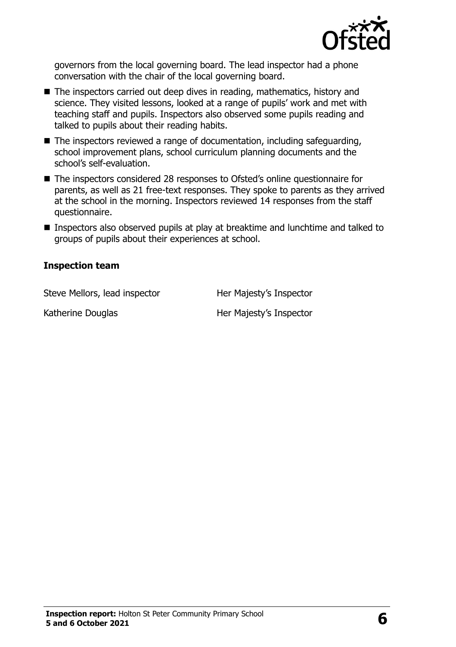

governors from the local governing board. The lead inspector had a phone conversation with the chair of the local governing board.

- The inspectors carried out deep dives in reading, mathematics, history and science. They visited lessons, looked at a range of pupils' work and met with teaching staff and pupils. Inspectors also observed some pupils reading and talked to pupils about their reading habits.
- The inspectors reviewed a range of documentation, including safeguarding, school improvement plans, school curriculum planning documents and the school's self-evaluation.
- The inspectors considered 28 responses to Ofsted's online questionnaire for parents, as well as 21 free-text responses. They spoke to parents as they arrived at the school in the morning. Inspectors reviewed 14 responses from the staff questionnaire.
- Inspectors also observed pupils at play at breaktime and lunchtime and talked to groups of pupils about their experiences at school.

#### **Inspection team**

Steve Mellors, lead inspector **Her Majesty's Inspector** 

Katherine Douglas Her Majesty's Inspector